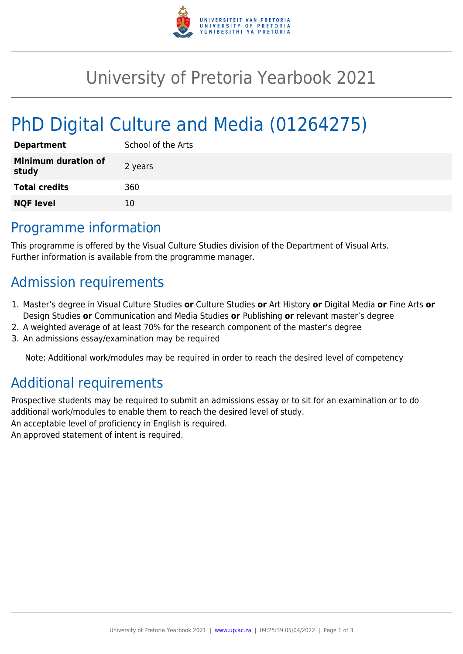

# University of Pretoria Yearbook 2021

# PhD Digital Culture and Media (01264275)

| <b>Department</b>            | School of the Arts |
|------------------------------|--------------------|
| Minimum duration of<br>study | 2 years            |
| <b>Total credits</b>         | 360                |
| <b>NQF level</b>             | 10                 |

#### Programme information

This programme is offered by the Visual Culture Studies division of the Department of Visual Arts. Further information is available from the programme manager.

## Admission requirements

- 1. Master's degree in Visual Culture Studies **or** Culture Studies **or** Art History **or** Digital Media **or** Fine Arts **or** Design Studies **or** Communication and Media Studies **or** Publishing **or** relevant master's degree
- 2. A weighted average of at least 70% for the research component of the master's degree
- 3. An admissions essay/examination may be required

Note: Additional work/modules may be required in order to reach the desired level of competency

## Additional requirements

Prospective students may be required to submit an admissions essay or to sit for an examination or to do additional work/modules to enable them to reach the desired level of study. An acceptable level of proficiency in English is required. An approved statement of intent is required.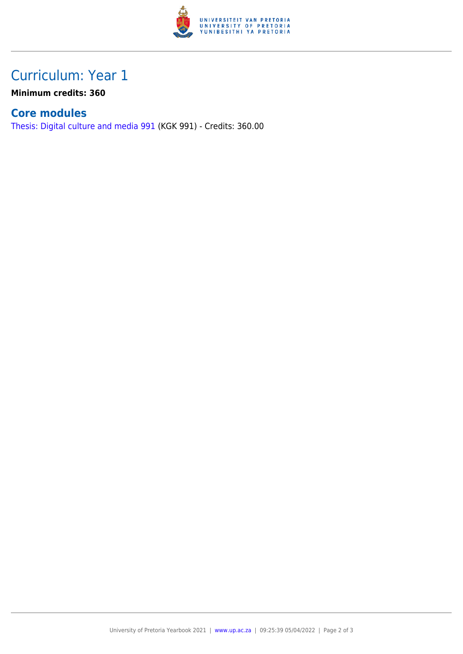

## Curriculum: Year 1

**Minimum credits: 360**

#### **Core modules**

[Thesis: Digital culture and media 991](https://www.up.ac.za/yearbooks/2021/modules/view/KGK 991) (KGK 991) - Credits: 360.00